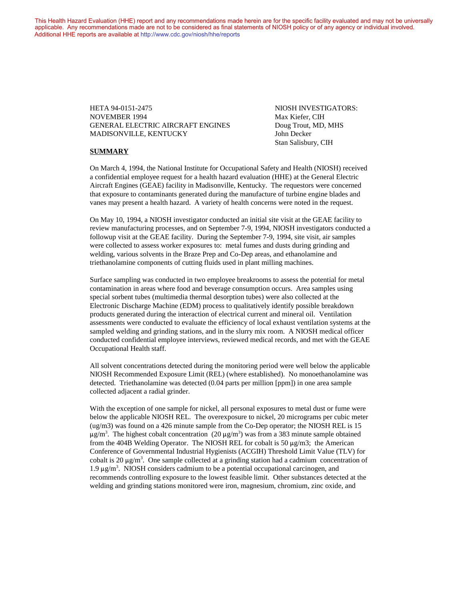This Health Hazard Evaluation (HHE) report and any recommendations made herein are for the specific facility evaluated and may not be universally applicable. Any recommendations made are not to be considered as final statements of NIOSH policy or of any agency or individual involved. Additional HHE reports are available at <http://www.cdc.gov/niosh/hhe/reports> Additional HHE reports are available at <http://www.cdc.gov/niosh/hhe/reports>

> HETA 94-0151-2475 NIOSH INVESTIGATORS: NOVEMBER 1994 Max Kiefer, CIH GENERAL ELECTRIC AIRCRAFT ENGINES Doug Trout, MD, MHS MADISONVILLE, KENTUCKY John Decker

Stan Salisbury, CIH

#### **SUMMARY**

On March 4, 1994, the National Institute for Occupational Safety and Health (NIOSH) received a confidential employee request for a health hazard evaluation (HHE) at the General Electric Aircraft Engines (GEAE) facility in Madisonville, Kentucky. The requestors were concerned that exposure to contaminants generated during the manufacture of turbine engine blades and vanes may present a health hazard. A variety of health concerns were noted in the request.

On May 10, 1994, a NIOSH investigator conducted an initial site visit at the GEAE facility to review manufacturing processes, and on September 7-9, 1994, NIOSH investigators conducted a followup visit at the GEAE facility. During the September 7-9, 1994, site visit, air samples were collected to assess worker exposures to: metal fumes and dusts during grinding and welding, various solvents in the Braze Prep and Co-Dep areas, and ethanolamine and triethanolamine components of cutting fluids used in plant milling machines.

Surface sampling was conducted in two employee breakrooms to assess the potential for metal contamination in areas where food and beverage consumption occurs. Area samples using special sorbent tubes (multimedia thermal desorption tubes) were also collected at the Electronic Discharge Machine (EDM) process to qualitatively identify possible breakdown products generated during the interaction of electrical current and mineral oil. Ventilation assessments were conducted to evaluate the efficiency of local exhaust ventilation systems at the sampled welding and grinding stations, and in the slurry mix room. A NIOSH medical officer conducted confidential employee interviews, reviewed medical records, and met with the GEAE Occupational Health staff.

All solvent concentrations detected during the monitoring period were well below the applicable NIOSH Recommended Exposure Limit (REL) (where established). No monoethanolamine was detected. Triethanolamine was detected (0.04 parts per million [ppm]) in one area sample collected adjacent a radial grinder.

With the exception of one sample for nickel, all personal exposures to metal dust or fume were below the applicable NIOSH REL. The overexposure to nickel, 20 micrograms per cubic meter (ug/m3) was found on a 426 minute sample from the Co-Dep operator; the NIOSH REL is 15  $\mu$ g/m<sup>3</sup>. The highest cobalt concentration (20  $\mu$ g/m<sup>3</sup>) was from a 383 minute sample obtained from the 404B Welding Operator. The NIOSH REL for cobalt is 50  $\mu$ g/m3; the American Conference of Governmental Industrial Hygienists (ACGIH) Threshold Limit Value (TLV) for cobalt is 20  $\mu$ g/m<sup>3</sup>. One sample collected at a grinding station had a cadmium concentration of  $1.9 \,\mu\text{g/m}^3$ . NIOSH considers cadmium to be a potential occupational carcinogen, and recommends controlling exposure to the lowest feasible limit. Other substances detected at the welding and grinding stations monitored were iron, magnesium, chromium, zinc oxide, and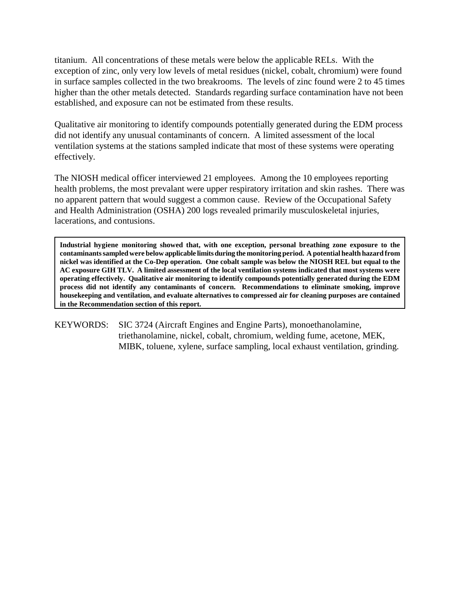titanium. All concentrations of these metals were below the applicable RELs. With the exception of zinc, only very low levels of metal residues (nickel, cobalt, chromium) were found in surface samples collected in the two breakrooms. The levels of zinc found were 2 to 45 times higher than the other metals detected. Standards regarding surface contamination have not been established, and exposure can not be estimated from these results.

Qualitative air monitoring to identify compounds potentially generated during the EDM process did not identify any unusual contaminants of concern. A limited assessment of the local ventilation systems at the stations sampled indicate that most of these systems were operating effectively.

The NIOSH medical officer interviewed 21 employees. Among the 10 employees reporting health problems, the most prevalant were upper respiratory irritation and skin rashes. There was no apparent pattern that would suggest a common cause. Review of the Occupational Safety and Health Administration (OSHA) 200 logs revealed primarily musculoskeletal injuries, lacerations, and contusions.

**Industrial hygiene monitoring showed that, with one exception, personal breathing zone exposure to the contaminants sampled were below applicable limits during the monitoring period. A potential health hazard from nickel was identified at the Co-Dep operation. One cobalt sample was below the NIOSH REL but equal to the AC exposure GIH TLV. A limited assessment of the local ventilation systems indicated that most systems were operating effectively. Qualitative air monitoring to identify compounds potentially generated during the EDM process did not identify any contaminants of concern. Recommendations to eliminate smoking, improve housekeeping and ventilation, and evaluate alternatives to compressed air for cleaning purposes are contained in the Recommendation section of this report.**

KEYWORDS: SIC 3724 (Aircraft Engines and Engine Parts), monoethanolamine, triethanolamine, nickel, cobalt, chromium, welding fume, acetone, MEK, MIBK, toluene, xylene, surface sampling, local exhaust ventilation, grinding.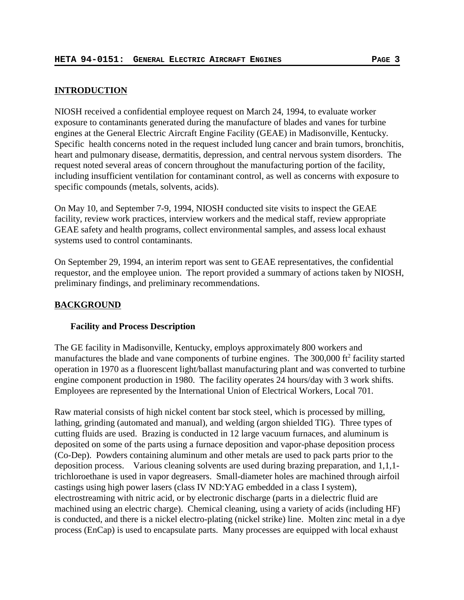# **INTRODUCTION**

NIOSH received a confidential employee request on March 24, 1994, to evaluate worker exposure to contaminants generated during the manufacture of blades and vanes for turbine engines at the General Electric Aircraft Engine Facility (GEAE) in Madisonville, Kentucky. Specific health concerns noted in the request included lung cancer and brain tumors, bronchitis, heart and pulmonary disease, dermatitis, depression, and central nervous system disorders. The request noted several areas of concern throughout the manufacturing portion of the facility, including insufficient ventilation for contaminant control, as well as concerns with exposure to specific compounds (metals, solvents, acids).

On May 10, and September 7-9, 1994, NIOSH conducted site visits to inspect the GEAE facility, review work practices, interview workers and the medical staff, review appropriate GEAE safety and health programs, collect environmental samples, and assess local exhaust systems used to control contaminants.

On September 29, 1994, an interim report was sent to GEAE representatives, the confidential requestor, and the employee union. The report provided a summary of actions taken by NIOSH, preliminary findings, and preliminary recommendations.

# **BACKGROUND**

# **Facility and Process Description**

The GE facility in Madisonville, Kentucky, employs approximately 800 workers and manufactures the blade and vane components of turbine engines. The 300,000 ft<sup>2</sup> facility started operation in 1970 as a fluorescent light/ballast manufacturing plant and was converted to turbine engine component production in 1980. The facility operates 24 hours/day with 3 work shifts. Employees are represented by the International Union of Electrical Workers, Local 701.

Raw material consists of high nickel content bar stock steel, which is processed by milling, lathing, grinding (automated and manual), and welding (argon shielded TIG). Three types of cutting fluids are used. Brazing is conducted in 12 large vacuum furnaces, and aluminum is deposited on some of the parts using a furnace deposition and vapor-phase deposition process (Co-Dep). Powders containing aluminum and other metals are used to pack parts prior to the deposition process. Various cleaning solvents are used during brazing preparation, and 1,1,1 trichloroethane is used in vapor degreasers. Small-diameter holes are machined through airfoil castings using high power lasers (class IV ND:YAG embedded in a class I system), electrostreaming with nitric acid, or by electronic discharge (parts in a dielectric fluid are machined using an electric charge). Chemical cleaning, using a variety of acids (including HF) is conducted, and there is a nickel electro-plating (nickel strike) line. Molten zinc metal in a dye process (EnCap) is used to encapsulate parts. Many processes are equipped with local exhaust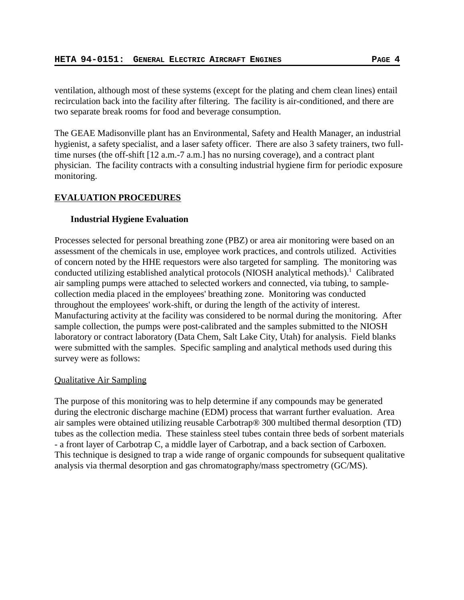ventilation, although most of these systems (except for the plating and chem clean lines) entail recirculation back into the facility after filtering. The facility is air-conditioned, and there are two separate break rooms for food and beverage consumption.

The GEAE Madisonville plant has an Environmental, Safety and Health Manager, an industrial hygienist, a safety specialist, and a laser safety officer. There are also 3 safety trainers, two fulltime nurses (the off-shift [12 a.m.-7 a.m.] has no nursing coverage), and a contract plant physician. The facility contracts with a consulting industrial hygiene firm for periodic exposure monitoring.

# **EVALUATION PROCEDURES**

## **Industrial Hygiene Evaluation**

Processes selected for personal breathing zone (PBZ) or area air monitoring were based on an assessment of the chemicals in use, employee work practices, and controls utilized. Activities of concern noted by the HHE requestors were also targeted for sampling. The monitoring was conducted utilizing established analytical protocols (NIOSH analytical methods).<sup>1</sup> Calibrated air sampling pumps were attached to selected workers and connected, via tubing, to samplecollection media placed in the employees' breathing zone. Monitoring was conducted throughout the employees' work-shift, or during the length of the activity of interest. Manufacturing activity at the facility was considered to be normal during the monitoring. After sample collection, the pumps were post-calibrated and the samples submitted to the NIOSH laboratory or contract laboratory (Data Chem, Salt Lake City, Utah) for analysis. Field blanks were submitted with the samples. Specific sampling and analytical methods used during this survey were as follows:

### Qualitative Air Sampling

The purpose of this monitoring was to help determine if any compounds may be generated during the electronic discharge machine (EDM) process that warrant further evaluation. Area air samples were obtained utilizing reusable Carbotrap® 300 multibed thermal desorption (TD) tubes as the collection media. These stainless steel tubes contain three beds of sorbent materials - a front layer of Carbotrap C, a middle layer of Carbotrap, and a back section of Carboxen. This technique is designed to trap a wide range of organic compounds for subsequent qualitative analysis via thermal desorption and gas chromatography/mass spectrometry (GC/MS).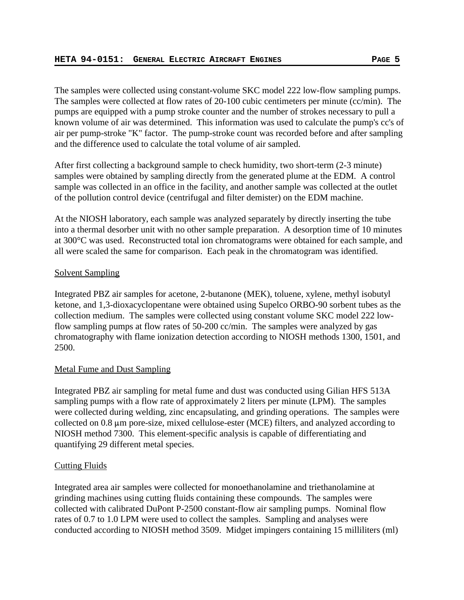The samples were collected using constant-volume SKC model 222 low-flow sampling pumps. The samples were collected at flow rates of 20-100 cubic centimeters per minute (cc/min). The pumps are equipped with a pump stroke counter and the number of strokes necessary to pull a known volume of air was determined. This information was used to calculate the pump's cc's of air per pump-stroke "K" factor. The pump-stroke count was recorded before and after sampling and the difference used to calculate the total volume of air sampled.

After first collecting a background sample to check humidity, two short-term (2-3 minute) samples were obtained by sampling directly from the generated plume at the EDM. A control sample was collected in an office in the facility, and another sample was collected at the outlet of the pollution control device (centrifugal and filter demister) on the EDM machine.

At the NIOSH laboratory, each sample was analyzed separately by directly inserting the tube into a thermal desorber unit with no other sample preparation. A desorption time of 10 minutes at 300°C was used. Reconstructed total ion chromatograms were obtained for each sample, and all were scaled the same for comparison. Each peak in the chromatogram was identified.

# Solvent Sampling

Integrated PBZ air samples for acetone, 2-butanone (MEK), toluene, xylene, methyl isobutyl ketone, and 1,3-dioxacyclopentane were obtained using Supelco ORBO-90 sorbent tubes as the collection medium. The samples were collected using constant volume SKC model 222 lowflow sampling pumps at flow rates of 50-200 cc/min. The samples were analyzed by gas chromatography with flame ionization detection according to NIOSH methods 1300, 1501, and 2500.

# Metal Fume and Dust Sampling

Integrated PBZ air sampling for metal fume and dust was conducted using Gilian HFS 513A sampling pumps with a flow rate of approximately 2 liters per minute (LPM). The samples were collected during welding, zinc encapsulating, and grinding operations. The samples were collected on  $0.8 \mu m$  pore-size, mixed cellulose-ester (MCE) filters, and analyzed according to NIOSH method 7300. This element-specific analysis is capable of differentiating and quantifying 29 different metal species.

# Cutting Fluids

Integrated area air samples were collected for monoethanolamine and triethanolamine at grinding machines using cutting fluids containing these compounds. The samples were collected with calibrated DuPont P-2500 constant-flow air sampling pumps. Nominal flow rates of 0.7 to 1.0 LPM were used to collect the samples. Sampling and analyses were conducted according to NIOSH method 3509. Midget impingers containing 15 milliliters (ml)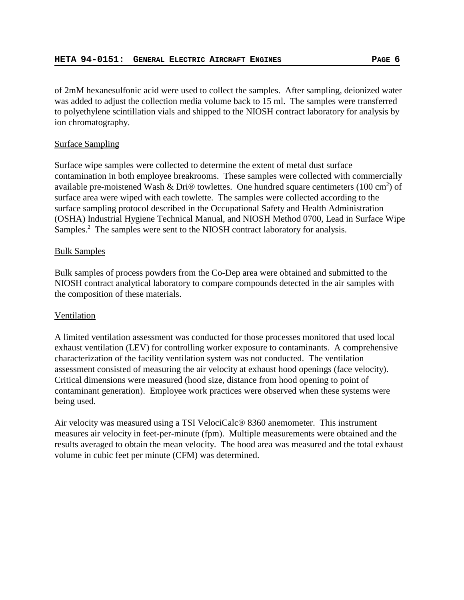of 2mM hexanesulfonic acid were used to collect the samples. After sampling, deionized water was added to adjust the collection media volume back to 15 ml. The samples were transferred to polyethylene scintillation vials and shipped to the NIOSH contract laboratory for analysis by ion chromatography.

# Surface Sampling

Surface wipe samples were collected to determine the extent of metal dust surface contamination in both employee breakrooms. These samples were collected with commercially available pre-moistened Wash & Dri® towlettes. One hundred square centimeters (100 cm<sup>2</sup>) of surface area were wiped with each towlette. The samples were collected according to the surface sampling protocol described in the Occupational Safety and Health Administration (OSHA) Industrial Hygiene Technical Manual, and NIOSH Method 0700, Lead in Surface Wipe Samples.<sup>2</sup> The samples were sent to the NIOSH contract laboratory for analysis.

# Bulk Samples

Bulk samples of process powders from the Co-Dep area were obtained and submitted to the NIOSH contract analytical laboratory to compare compounds detected in the air samples with the composition of these materials.

# Ventilation

A limited ventilation assessment was conducted for those processes monitored that used local exhaust ventilation (LEV) for controlling worker exposure to contaminants. A comprehensive characterization of the facility ventilation system was not conducted. The ventilation assessment consisted of measuring the air velocity at exhaust hood openings (face velocity). Critical dimensions were measured (hood size, distance from hood opening to point of contaminant generation). Employee work practices were observed when these systems were being used.

Air velocity was measured using a TSI VelociCalc® 8360 anemometer. This instrument measures air velocity in feet-per-minute (fpm). Multiple measurements were obtained and the results averaged to obtain the mean velocity. The hood area was measured and the total exhaust volume in cubic feet per minute (CFM) was determined.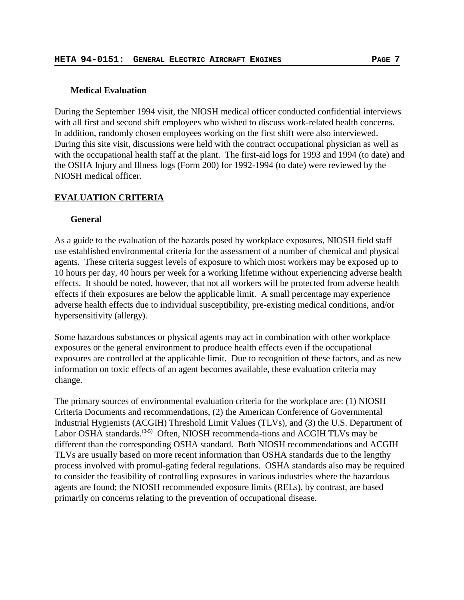## **Medical Evaluation**

During the September 1994 visit, the NIOSH medical officer conducted confidential interviews with all first and second shift employees who wished to discuss work-related health concerns. In addition, randomly chosen employees working on the first shift were also interviewed. During this site visit, discussions were held with the contract occupational physician as well as with the occupational health staff at the plant. The first-aid logs for 1993 and 1994 (to date) and the OSHA Injury and Illness logs (Form 200) for 1992-1994 (to date) were reviewed by the NIOSH medical officer.

## **EVALUATION CRITERIA**

## **General**

As a guide to the evaluation of the hazards posed by workplace exposures, NIOSH field staff use established environmental criteria for the assessment of a number of chemical and physical agents. These criteria suggest levels of exposure to which most workers may be exposed up to 10 hours per day, 40 hours per week for a working lifetime without experiencing adverse health effects. It should be noted, however, that not all workers will be protected from adverse health effects if their exposures are below the applicable limit. A small percentage may experience adverse health effects due to individual susceptibility, pre-existing medical conditions, and/or hypersensitivity (allergy).

Some hazardous substances or physical agents may act in combination with other workplace exposures or the general environment to produce health effects even if the occupational exposures are controlled at the applicable limit. Due to recognition of these factors, and as new information on toxic effects of an agent becomes available, these evaluation criteria may change.

The primary sources of environmental evaluation criteria for the workplace are: (1) NIOSH Criteria Documents and recommendations, (2) the American Conference of Governmental Industrial Hygienists (ACGIH) Threshold Limit Values (TLVs), and (3) the U.S. Department of Labor OSHA standards.<sup>(3-5)</sup> Often, NIOSH recommenda-tions and ACGIH TLVs may be different than the corresponding OSHA standard. Both NIOSH recommendations and ACGIH TLVs are usually based on more recent information than OSHA standards due to the lengthy process involved with promul-gating federal regulations. OSHA standards also may be required to consider the feasibility of controlling exposures in various industries where the hazardous agents are found; the NIOSH recommended exposure limits (RELs), by contrast, are based primarily on concerns relating to the prevention of occupational disease.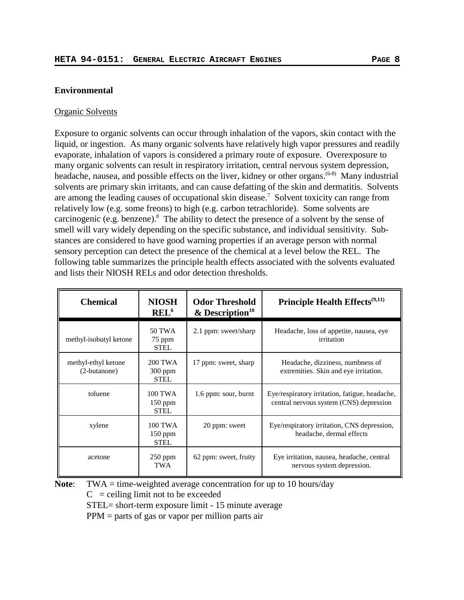## **Environmental**

### Organic Solvents

Exposure to organic solvents can occur through inhalation of the vapors, skin contact with the liquid, or ingestion. As many organic solvents have relatively high vapor pressures and readily evaporate, inhalation of vapors is considered a primary route of exposure. Overexposure to many organic solvents can result in respiratory irritation, central nervous system depression, headache, nausea, and possible effects on the liver, kidney or other organs.<sup>(6-8)</sup> Many industrial solvents are primary skin irritants, and can cause defatting of the skin and dermatitis. Solvents are among the leading causes of occupational skin disease.<sup>7</sup> Solvent toxicity can range from relatively low (e.g. some freons) to high (e.g. carbon tetrachloride). Some solvents are carcinogenic (e.g. benzene). $8$  The ability to detect the presence of a solvent by the sense of smell will vary widely depending on the specific substance, and individual sensitivity. Substances are considered to have good warning properties if an average person with normal sensory perception can detect the presence of the chemical at a level below the REL. The following table summarizes the principle health effects associated with the solvents evaluated and lists their NIOSH RELs and odor detection thresholds.

| <b>Chemical</b>                     | <b>NIOSH</b><br>REL <sup>6</sup>    | <b>Odor Threshold</b><br>$&$ Description <sup>10</sup> | Principle Health Effects <sup>(9,11)</sup>                                                |
|-------------------------------------|-------------------------------------|--------------------------------------------------------|-------------------------------------------------------------------------------------------|
| methyl-isobutyl ketone              | 50 TWA<br>75 ppm<br><b>STEL</b>     | 2.1 ppm: sweet/sharp                                   | Headache, loss of appetite, nausea, eye<br>irritation                                     |
| methyl-ethyl ketone<br>(2-butanone) | 200 TWA<br>300 ppm<br><b>STEL</b>   | 17 ppm: sweet, sharp                                   | Headache, dizziness, numbness of<br>extremities. Skin and eye irritation.                 |
| toluene                             | 100 TWA<br>150 ppm<br><b>STEL</b>   | 1.6 ppm: sour, burnt                                   | Eye/respiratory irritation, fatigue, headache,<br>central nervous system (CNS) depression |
| xylene                              | 100 TWA<br>$150$ ppm<br><b>STEL</b> | 20 ppm: sweet                                          | Eye/respiratory irritation, CNS depression,<br>headache, dermal effects                   |
| acetone                             | $250$ ppm<br><b>TWA</b>             | 62 ppm: sweet, fruity                                  | Eye irritation, nausea, headache, central<br>nervous system depression.                   |

**Note:** TWA = time-weighted average concentration for up to 10 hours/day  $C$  = ceiling limit not to be exceeded

STEL= short-term exposure limit - 15 minute average

PPM = parts of gas or vapor per million parts air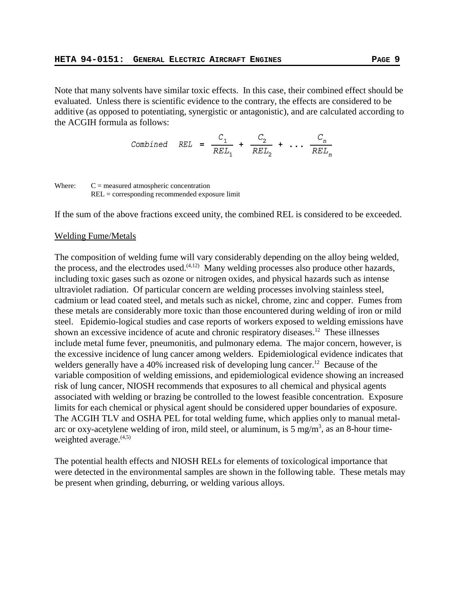Note that many solvents have similar toxic effects. In this case, their combined effect should be evaluated. Unless there is scientific evidence to the contrary, the effects are considered to be additive (as opposed to potentiating, synergistic or antagonistic), and are calculated according to the ACGIH formula as follows:

$$
Combined \quad REL = \frac{C_1}{REL_1} + \frac{C_2}{REL_2} + \dots + \frac{C_n}{REL_n}
$$

Where:  $C =$  measured atmospheric concentration REL = corresponding recommended exposure limit

If the sum of the above fractions exceed unity, the combined REL is considered to be exceeded.

## Welding Fume/Metals

The composition of welding fume will vary considerably depending on the alloy being welded, the process, and the electrodes used. $(4,12)$  Many welding processes also produce other hazards, including toxic gases such as ozone or nitrogen oxides, and physical hazards such as intense ultraviolet radiation. Of particular concern are welding processes involving stainless steel, cadmium or lead coated steel, and metals such as nickel, chrome, zinc and copper. Fumes from these metals are considerably more toxic than those encountered during welding of iron or mild steel. Epidemio-logical studies and case reports of workers exposed to welding emissions have shown an excessive incidence of acute and chronic respiratory diseases.<sup>12</sup> These illnesses include metal fume fever, pneumonitis, and pulmonary edema. The major concern, however, is the excessive incidence of lung cancer among welders. Epidemiological evidence indicates that welders generally have a 40% increased risk of developing lung cancer.<sup>12</sup> Because of the variable composition of welding emissions, and epidemiological evidence showing an increased risk of lung cancer, NIOSH recommends that exposures to all chemical and physical agents associated with welding or brazing be controlled to the lowest feasible concentration. Exposure limits for each chemical or physical agent should be considered upper boundaries of exposure. The ACGIH TLV and OSHA PEL for total welding fume, which applies only to manual metalarc or oxy-acetylene welding of iron, mild steel, or aluminum, is 5 mg/m<sup>3</sup>, as an 8-hour timeweighted average. $(4,5)$ 

The potential health effects and NIOSH RELs for elements of toxicological importance that were detected in the environmental samples are shown in the following table. These metals may be present when grinding, deburring, or welding various alloys.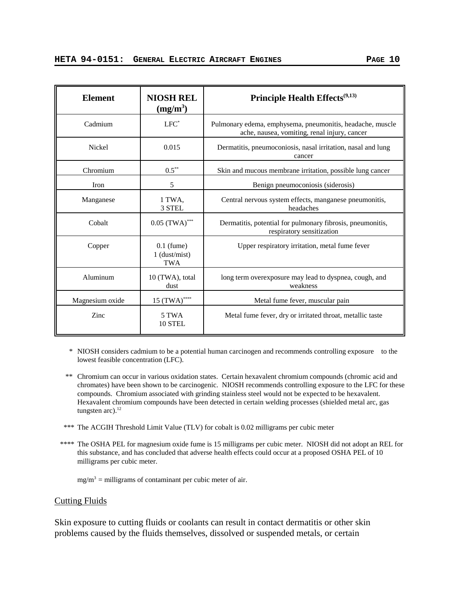| <b>Element</b>  | <b>NIOSH REL</b><br>$(mg/m^3)$         | Principle Health Effects <sup>(9,13)</sup>                                                                |
|-----------------|----------------------------------------|-----------------------------------------------------------------------------------------------------------|
| Cadmium         | $LFC^*$                                | Pulmonary edema, emphysema, pneumonitis, headache, muscle<br>ache, nausea, vomiting, renal injury, cancer |
| <b>Nickel</b>   | 0.015                                  | Dermatitis, pneumoconiosis, nasal irritation, nasal and lung<br>cancer                                    |
| Chromium        | $0.5***$                               | Skin and mucous membrane irritation, possible lung cancer                                                 |
| Iron            | 5                                      | Benign pneumoconiosis (siderosis)                                                                         |
| Manganese       | 1 TWA.<br>3 STEL                       | Central nervous system effects, manganese pneumonitis,<br>headaches                                       |
| Cobalt          | $0.05$ (TWA) <sup>***</sup>            | Dermatitis, potential for pulmonary fibrosis, pneumonitis,<br>respiratory sensitization                   |
| Copper          | $0.1$ (fume)<br>$1$ (dust/mist)<br>TWA | Upper respiratory irritation, metal fume fever                                                            |
| Aluminum        | 10 (TWA), total<br>dust                | long term overexposure may lead to dyspnea, cough, and<br>weakness                                        |
| Magnesium oxide | 15 (TWA)****                           | Metal fume fever, muscular pain                                                                           |
| Zinc            | 5 TWA<br>10 STEL                       | Metal fume fever, dry or irritated throat, metallic taste                                                 |

 \* NIOSH considers cadmium to be a potential human carcinogen and recommends controlling exposure to the lowest feasible concentration (LFC).

- \*\* Chromium can occur in various oxidation states. Certain hexavalent chromium compounds (chromic acid and chromates) have been shown to be carcinogenic. NIOSH recommends controlling exposure to the LFC for these compounds. Chromium associated with grinding stainless steel would not be expected to be hexavalent. Hexavalent chromium compounds have been detected in certain welding processes (shielded metal arc, gas tungsten  $arc$ ).<sup>12</sup>
- \*\*\* The ACGIH Threshold Limit Value (TLV) for cobalt is 0.02 milligrams per cubic meter
- \*\*\*\* The OSHA PEL for magnesium oxide fume is 15 milligrams per cubic meter. NIOSH did not adopt an REL for this substance, and has concluded that adverse health effects could occur at a proposed OSHA PEL of 10 milligrams per cubic meter.

 $mg/m<sup>3</sup>$  = milligrams of contaminant per cubic meter of air.

### Cutting Fluids

Skin exposure to cutting fluids or coolants can result in contact dermatitis or other skin problems caused by the fluids themselves, dissolved or suspended metals, or certain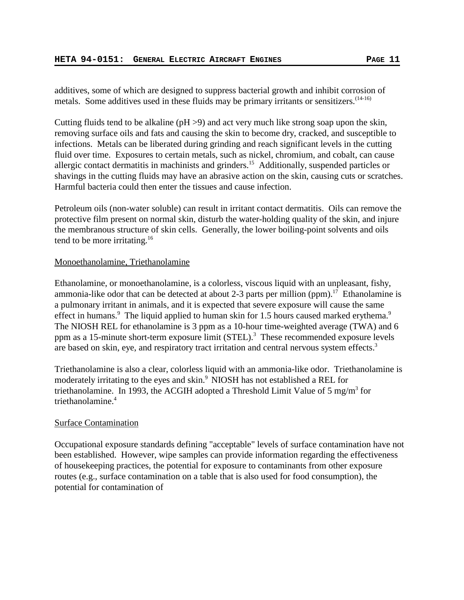additives, some of which are designed to suppress bacterial growth and inhibit corrosion of metals. Some additives used in these fluids may be primary irritants or sensitizers.  $(14-16)$ 

Cutting fluids tend to be alkaline (pH >9) and act very much like strong soap upon the skin, removing surface oils and fats and causing the skin to become dry, cracked, and susceptible to infections. Metals can be liberated during grinding and reach significant levels in the cutting fluid over time. Exposures to certain metals, such as nickel, chromium, and cobalt, can cause allergic contact dermatitis in machinists and grinders.15 Additionally, suspended particles or shavings in the cutting fluids may have an abrasive action on the skin, causing cuts or scratches. Harmful bacteria could then enter the tissues and cause infection.

Petroleum oils (non-water soluble) can result in irritant contact dermatitis. Oils can remove the protective film present on normal skin, disturb the water-holding quality of the skin, and injure the membranous structure of skin cells. Generally, the lower boiling-point solvents and oils tend to be more irritating.<sup>16</sup>

## Monoethanolamine, Triethanolamine

Ethanolamine, or monoethanolamine, is a colorless, viscous liquid with an unpleasant, fishy, ammonia-like odor that can be detected at about 2-3 parts per million (ppm).<sup>17</sup> Ethanolamine is a pulmonary irritant in animals, and it is expected that severe exposure will cause the same effect in humans.<sup>9</sup> The liquid applied to human skin for 1.5 hours caused marked erythema.<sup>9</sup> The NIOSH REL for ethanolamine is 3 ppm as a 10-hour time-weighted average (TWA) and 6 ppm as a 15-minute short-term exposure limit  $(STEL)^3$  These recommended exposure levels are based on skin, eye, and respiratory tract irritation and central nervous system effects.<sup>3</sup>

Triethanolamine is also a clear, colorless liquid with an ammonia-like odor. Triethanolamine is moderately irritating to the eyes and skin.9 NIOSH has not established a REL for triethanolamine. In 1993, the ACGIH adopted a Threshold Limit Value of 5 mg/m<sup>3</sup> for triethanolamine.4

## Surface Contamination

Occupational exposure standards defining "acceptable" levels of surface contamination have not been established. However, wipe samples can provide information regarding the effectiveness of housekeeping practices, the potential for exposure to contaminants from other exposure routes (e.g., surface contamination on a table that is also used for food consumption), the potential for contamination of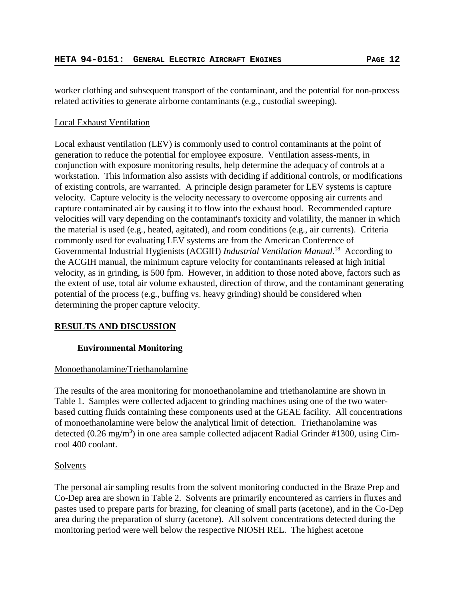worker clothing and subsequent transport of the contaminant, and the potential for non-process related activities to generate airborne contaminants (e.g., custodial sweeping).

## Local Exhaust Ventilation

Local exhaust ventilation (LEV) is commonly used to control contaminants at the point of generation to reduce the potential for employee exposure. Ventilation assess-ments, in conjunction with exposure monitoring results, help determine the adequacy of controls at a workstation. This information also assists with deciding if additional controls, or modifications of existing controls, are warranted. A principle design parameter for LEV systems is capture velocity. Capture velocity is the velocity necessary to overcome opposing air currents and capture contaminated air by causing it to flow into the exhaust hood. Recommended capture velocities will vary depending on the contaminant's toxicity and volatility, the manner in which the material is used (e.g., heated, agitated), and room conditions (e.g., air currents). Criteria commonly used for evaluating LEV systems are from the American Conference of Governmental Industrial Hygienists (ACGIH) *Industrial Ventilation Manual*. 18 According to the ACGIH manual, the minimum capture velocity for contaminants released at high initial velocity, as in grinding, is 500 fpm. However, in addition to those noted above, factors such as the extent of use, total air volume exhausted, direction of throw, and the contaminant generating potential of the process (e.g., buffing vs. heavy grinding) should be considered when determining the proper capture velocity.

# **RESULTS AND DISCUSSION**

# **Environmental Monitoring**

# Monoethanolamine/Triethanolamine

The results of the area monitoring for monoethanolamine and triethanolamine are shown in Table 1. Samples were collected adjacent to grinding machines using one of the two waterbased cutting fluids containing these components used at the GEAE facility. All concentrations of monoethanolamine were below the analytical limit of detection. Triethanolamine was detected (0.26 mg/m<sup>3</sup>) in one area sample collected adjacent Radial Grinder #1300, using Cimcool 400 coolant.

# Solvents

The personal air sampling results from the solvent monitoring conducted in the Braze Prep and Co-Dep area are shown in Table 2. Solvents are primarily encountered as carriers in fluxes and pastes used to prepare parts for brazing, for cleaning of small parts (acetone), and in the Co-Dep area during the preparation of slurry (acetone). All solvent concentrations detected during the monitoring period were well below the respective NIOSH REL. The highest acetone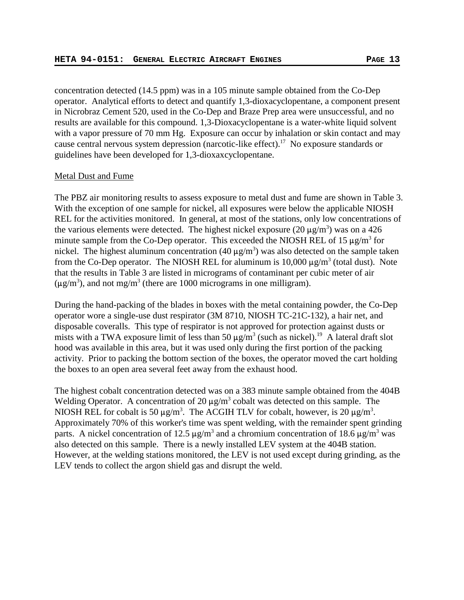concentration detected (14.5 ppm) was in a 105 minute sample obtained from the Co-Dep operator. Analytical efforts to detect and quantify 1,3-dioxacyclopentane, a component present in Nicrobraz Cement 520, used in the Co-Dep and Braze Prep area were unsuccessful, and no results are available for this compound. 1,3-Dioxacyclopentane is a water-white liquid solvent with a vapor pressure of 70 mm Hg. Exposure can occur by inhalation or skin contact and may cause central nervous system depression (narcotic-like effect).<sup>17</sup> No exposure standards or guidelines have been developed for 1,3-dioxaxcyclopentane.

#### Metal Dust and Fume

The PBZ air monitoring results to assess exposure to metal dust and fume are shown in Table 3. With the exception of one sample for nickel, all exposures were below the applicable NIOSH REL for the activities monitored. In general, at most of the stations, only low concentrations of the various elements were detected. The highest nickel exposure  $(20 \mu g/m^3)$  was on a 426 minute sample from the Co-Dep operator. This exceeded the NIOSH REL of 15  $\mu$ g/m<sup>3</sup> for nickel. The highest aluminum concentration (40  $\mu$ g/m<sup>3</sup>) was also detected on the sample taken from the Co-Dep operator. The NIOSH REL for aluminum is  $10,000 \mu g/m^3$  (total dust). Note that the results in Table 3 are listed in micrograms of contaminant per cubic meter of air  $(\mu g/m^3)$ , and not mg/m<sup>3</sup> (there are 1000 micrograms in one milligram).

During the hand-packing of the blades in boxes with the metal containing powder, the Co-Dep operator wore a single-use dust respirator (3M 8710, NIOSH TC-21C-132), a hair net, and disposable coveralls. This type of respirator is not approved for protection against dusts or mists with a TWA exposure limit of less than 50  $\mu$ g/m<sup>3</sup> (such as nickel).<sup>19</sup> A lateral draft slot hood was available in this area, but it was used only during the first portion of the packing activity. Prior to packing the bottom section of the boxes, the operator moved the cart holding the boxes to an open area several feet away from the exhaust hood.

The highest cobalt concentration detected was on a 383 minute sample obtained from the 404B Welding Operator. A concentration of 20  $\mu$ g/m<sup>3</sup> cobalt was detected on this sample. The NIOSH REL for cobalt is 50  $\mu$ g/m<sup>3</sup>. The ACGIH TLV for cobalt, however, is 20  $\mu$ g/m<sup>3</sup>. Approximately 70% of this worker's time was spent welding, with the remainder spent grinding parts. A nickel concentration of 12.5  $\mu$ g/m<sup>3</sup> and a chromium concentration of 18.6  $\mu$ g/m<sup>3</sup> was also detected on this sample. There is a newly installed LEV system at the 404B station. However, at the welding stations monitored, the LEV is not used except during grinding, as the LEV tends to collect the argon shield gas and disrupt the weld.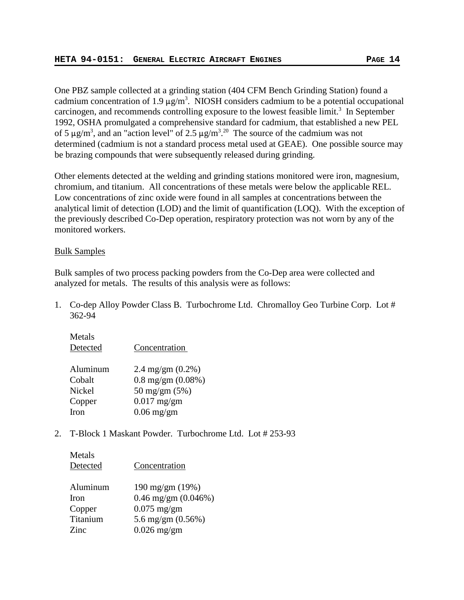One PBZ sample collected at a grinding station (404 CFM Bench Grinding Station) found a cadmium concentration of 1.9  $\mu$ g/m<sup>3</sup>. NIOSH considers cadmium to be a potential occupational carcinogen, and recommends controlling exposure to the lowest feasible limit.<sup>3</sup> In September 1992, OSHA promulgated a comprehensive standard for cadmium, that established a new PEL of 5  $\mu$ g/m<sup>3</sup>, and an "action level" of 2.5  $\mu$ g/m<sup>3</sup>.<sup>20</sup> The source of the cadmium was not determined (cadmium is not a standard process metal used at GEAE). One possible source may be brazing compounds that were subsequently released during grinding.

Other elements detected at the welding and grinding stations monitored were iron, magnesium, chromium, and titanium. All concentrations of these metals were below the applicable REL. Low concentrations of zinc oxide were found in all samples at concentrations between the analytical limit of detection (LOD) and the limit of quantification (LOQ). With the exception of the previously described Co-Dep operation, respiratory protection was not worn by any of the monitored workers.

## Bulk Samples

Metals

Bulk samples of two process packing powders from the Co-Dep area were collected and analyzed for metals. The results of this analysis were as follows:

1. Co-dep Alloy Powder Class B. Turbochrome Ltd. Chromalloy Geo Turbine Corp. Lot # 362-94

| 11111111<br>Detected | Concentration                |
|----------------------|------------------------------|
| Aluminum             | 2.4 mg/gm $(0.2\%)$          |
| Cobalt               | $0.8 \text{ mg/gm} (0.08\%)$ |
| Nickel               | 50 mg/gm (5%)                |
| Copper               | $0.017$ mg/gm                |
| Iron                 | $0.06$ mg/gm                 |

2. T-Block 1 Maskant Powder. Turbochrome Ltd. Lot # 253-93

| Metals<br>Detected | Concentration            |
|--------------------|--------------------------|
| Aluminum           | 190 mg/gm (19%)          |
| <b>Iron</b>        | $0.46$ mg/gm $(0.046\%)$ |
| Copper             | $0.075$ mg/gm            |
| Titanium           | 5.6 mg/gm $(0.56\%)$     |
| Zinc.              | $0.026$ mg/gm            |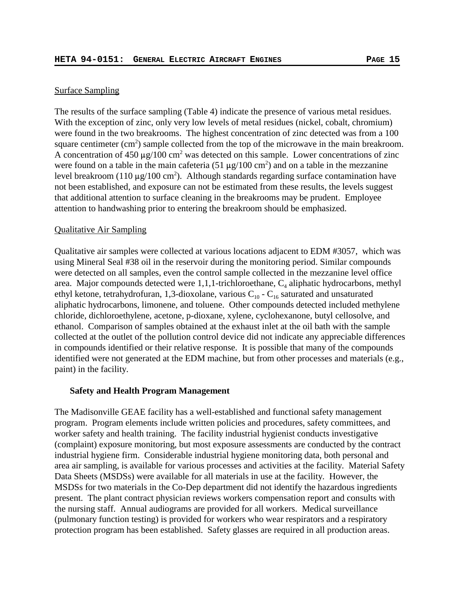## Surface Sampling

The results of the surface sampling (Table 4) indicate the presence of various metal residues. With the exception of zinc, only very low levels of metal residues (nickel, cobalt, chromium) were found in the two breakrooms. The highest concentration of zinc detected was from a 100 square centimeter  $(cm<sup>2</sup>)$  sample collected from the top of the microwave in the main breakroom. A concentration of 450  $\mu$ g/100 cm<sup>2</sup> was detected on this sample. Lower concentrations of zinc were found on a table in the main cafeteria (51  $\mu$ g/100 cm<sup>2</sup>) and on a table in the mezzanine level breakroom (110  $\mu$ g/100 cm<sup>2</sup>). Although standards regarding surface contamination have not been established, and exposure can not be estimated from these results, the levels suggest that additional attention to surface cleaning in the breakrooms may be prudent. Employee attention to handwashing prior to entering the breakroom should be emphasized.

### Qualitative Air Sampling

Qualitative air samples were collected at various locations adjacent to EDM #3057, which was using Mineral Seal #38 oil in the reservoir during the monitoring period. Similar compounds were detected on all samples, even the control sample collected in the mezzanine level office area. Major compounds detected were  $1,1,1$ -trichloroethane,  $C_4$  aliphatic hydrocarbons, methyl ethyl ketone, tetrahydrofuran, 1,3-dioxolane, various  $C_{10}$  -  $C_{16}$  saturated and unsaturated aliphatic hydrocarbons, limonene, and toluene. Other compounds detected included methylene chloride, dichloroethylene, acetone, p-dioxane, xylene, cyclohexanone, butyl cellosolve, and ethanol. Comparison of samples obtained at the exhaust inlet at the oil bath with the sample collected at the outlet of the pollution control device did not indicate any appreciable differences in compounds identified or their relative response. It is possible that many of the compounds identified were not generated at the EDM machine, but from other processes and materials (e.g., paint) in the facility.

### **Safety and Health Program Management**

The Madisonville GEAE facility has a well-established and functional safety management program. Program elements include written policies and procedures, safety committees, and worker safety and health training. The facility industrial hygienist conducts investigative (complaint) exposure monitoring, but most exposure assessments are conducted by the contract industrial hygiene firm. Considerable industrial hygiene monitoring data, both personal and area air sampling, is available for various processes and activities at the facility. Material Safety Data Sheets (MSDSs) were available for all materials in use at the facility. However, the MSDSs for two materials in the Co-Dep department did not identify the hazardous ingredients present. The plant contract physician reviews workers compensation report and consults with the nursing staff. Annual audiograms are provided for all workers. Medical surveillance (pulmonary function testing) is provided for workers who wear respirators and a respiratory protection program has been established. Safety glasses are required in all production areas.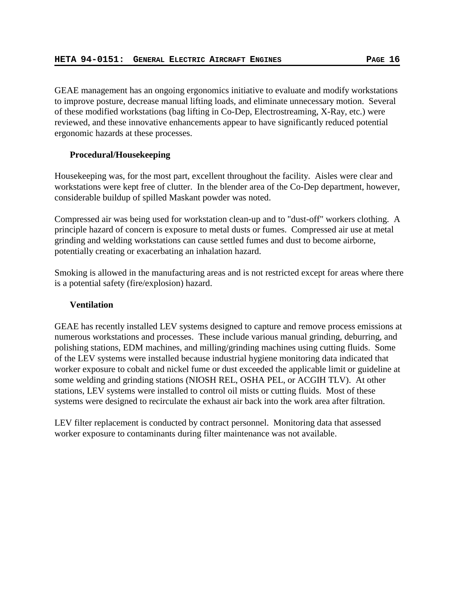GEAE management has an ongoing ergonomics initiative to evaluate and modify workstations to improve posture, decrease manual lifting loads, and eliminate unnecessary motion. Several of these modified workstations (bag lifting in Co-Dep, Electrostreaming, X-Ray, etc.) were reviewed, and these innovative enhancements appear to have significantly reduced potential ergonomic hazards at these processes.

## **Procedural/Housekeeping**

Housekeeping was, for the most part, excellent throughout the facility. Aisles were clear and workstations were kept free of clutter. In the blender area of the Co-Dep department, however, considerable buildup of spilled Maskant powder was noted.

Compressed air was being used for workstation clean-up and to "dust-off" workers clothing. A principle hazard of concern is exposure to metal dusts or fumes. Compressed air use at metal grinding and welding workstations can cause settled fumes and dust to become airborne, potentially creating or exacerbating an inhalation hazard.

Smoking is allowed in the manufacturing areas and is not restricted except for areas where there is a potential safety (fire/explosion) hazard.

## **Ventilation**

GEAE has recently installed LEV systems designed to capture and remove process emissions at numerous workstations and processes. These include various manual grinding, deburring, and polishing stations, EDM machines, and milling/grinding machines using cutting fluids. Some of the LEV systems were installed because industrial hygiene monitoring data indicated that worker exposure to cobalt and nickel fume or dust exceeded the applicable limit or guideline at some welding and grinding stations (NIOSH REL, OSHA PEL, or ACGIH TLV). At other stations, LEV systems were installed to control oil mists or cutting fluids. Most of these systems were designed to recirculate the exhaust air back into the work area after filtration.

LEV filter replacement is conducted by contract personnel. Monitoring data that assessed worker exposure to contaminants during filter maintenance was not available.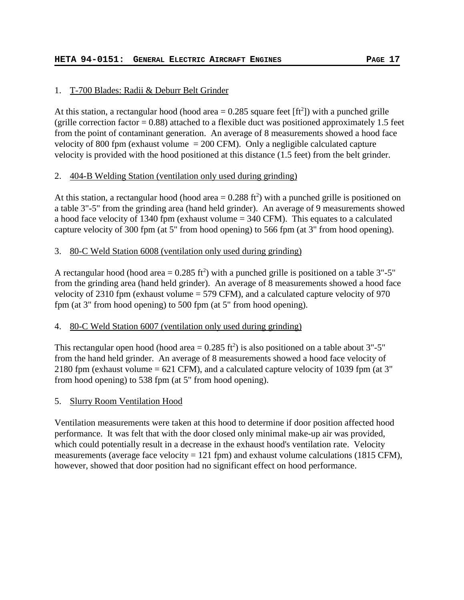# 1. T-700 Blades: Radii & Deburr Belt Grinder

At this station, a rectangular hood (hood area  $= 0.285$  square feet [ft<sup>2</sup>]) with a punched grille (grille correction factor  $= 0.88$ ) attached to a flexible duct was positioned approximately 1.5 feet from the point of contaminant generation. An average of 8 measurements showed a hood face velocity of 800 fpm (exhaust volume  $= 200$  CFM). Only a negligible calculated capture velocity is provided with the hood positioned at this distance (1.5 feet) from the belt grinder.

# 2. 404-B Welding Station (ventilation only used during grinding)

At this station, a rectangular hood (hood area  $= 0.288$  ft<sup>2</sup>) with a punched grille is positioned on a table 3"-5" from the grinding area (hand held grinder). An average of 9 measurements showed a hood face velocity of 1340 fpm (exhaust volume = 340 CFM). This equates to a calculated capture velocity of 300 fpm (at 5" from hood opening) to 566 fpm (at 3" from hood opening).

# 3. 80-C Weld Station 6008 (ventilation only used during grinding)

A rectangular hood (hood area =  $0.285$  ft<sup>2</sup>) with a punched grille is positioned on a table 3"-5" from the grinding area (hand held grinder). An average of 8 measurements showed a hood face velocity of 2310 fpm (exhaust volume = 579 CFM), and a calculated capture velocity of 970 fpm (at 3" from hood opening) to 500 fpm (at 5" from hood opening).

# 4. 80-C Weld Station 6007 (ventilation only used during grinding)

This rectangular open hood (hood area  $= 0.285 \text{ ft}^2$ ) is also positioned on a table about 3"-5" from the hand held grinder. An average of 8 measurements showed a hood face velocity of 2180 fpm (exhaust volume = 621 CFM), and a calculated capture velocity of 1039 fpm (at 3" from hood opening) to 538 fpm (at 5" from hood opening).

# 5. Slurry Room Ventilation Hood

Ventilation measurements were taken at this hood to determine if door position affected hood performance. It was felt that with the door closed only minimal make-up air was provided, which could potentially result in a decrease in the exhaust hood's ventilation rate. Velocity measurements (average face velocity  $= 121$  fpm) and exhaust volume calculations (1815 CFM), however, showed that door position had no significant effect on hood performance.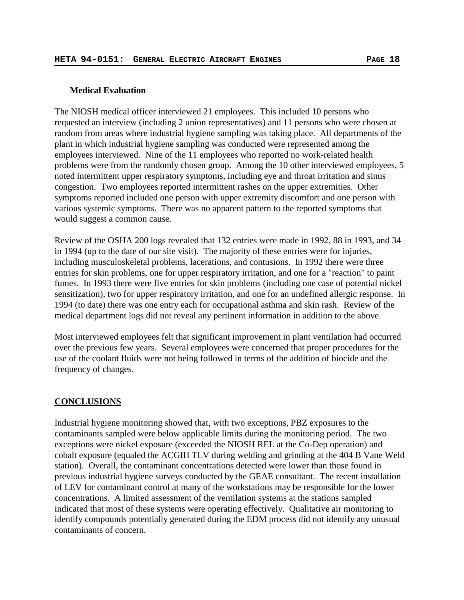### **Medical Evaluation**

The NIOSH medical officer interviewed 21 employees. This included 10 persons who requested an interview (including 2 union representatives) and 11 persons who were chosen at random from areas where industrial hygiene sampling was taking place. All departments of the plant in which industrial hygiene sampling was conducted were represented among the employees interviewed. Nine of the 11 employees who reported no work-related health problems were from the randomly chosen group. Among the 10 other interviewed employees, 5 noted intermittent upper respiratory symptoms, including eye and throat irritation and sinus congestion. Two employees reported intermittent rashes on the upper extremities. Other symptoms reported included one person with upper extremity discomfort and one person with various systemic symptoms. There was no apparent pattern to the reported symptoms that would suggest a common cause.

Review of the OSHA 200 logs revealed that 132 entries were made in 1992, 88 in 1993, and 34 in 1994 (up to the date of our site visit). The majority of these entries were for injuries, including musculoskeletal problems, lacerations, and contusions. In 1992 there were three entries for skin problems, one for upper respiratory irritation, and one for a "reaction" to paint fumes. In 1993 there were five entries for skin problems (including one case of potential nickel sensitization), two for upper respiratory irritation, and one for an undefined allergic response. In 1994 (to date) there was one entry each for occupational asthma and skin rash. Review of the medical department logs did not reveal any pertinent information in addition to the above.

Most interviewed employees felt that significant improvement in plant ventilation had occurred over the previous few years. Several employees were concerned that proper procedures for the use of the coolant fluids were not being followed in terms of the addition of biocide and the frequency of changes.

### **CONCLUSIONS**

Industrial hygiene monitoring showed that, with two exceptions, PBZ exposures to the contaminants sampled were below applicable limits during the monitoring period. The two exceptions were nickel exposure (exceeded the NIOSH REL at the Co-Dep operation) and cobalt exposure (equaled the ACGIH TLV during welding and grinding at the 404 B Vane Weld station). Overall, the contaminant concentrations detected were lower than those found in previous industrial hygiene surveys conducted by the GEAE consultant. The recent installation of LEV for contaminant control at many of the workstations may be responsible for the lower concentrations. A limited assessment of the ventilation systems at the stations sampled indicated that most of these systems were operating effectively. Qualitative air monitoring to identify compounds potentially generated during the EDM process did not identify any unusual contaminants of concern.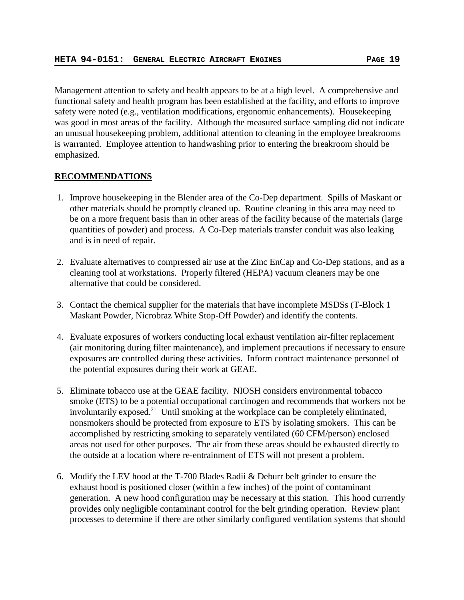Management attention to safety and health appears to be at a high level. A comprehensive and functional safety and health program has been established at the facility, and efforts to improve safety were noted (e.g., ventilation modifications, ergonomic enhancements). Housekeeping was good in most areas of the facility. Although the measured surface sampling did not indicate an unusual housekeeping problem, additional attention to cleaning in the employee breakrooms is warranted. Employee attention to handwashing prior to entering the breakroom should be emphasized.

# **RECOMMENDATIONS**

- 1. Improve housekeeping in the Blender area of the Co-Dep department. Spills of Maskant or other materials should be promptly cleaned up. Routine cleaning in this area may need to be on a more frequent basis than in other areas of the facility because of the materials (large quantities of powder) and process. A Co-Dep materials transfer conduit was also leaking and is in need of repair.
- 2. Evaluate alternatives to compressed air use at the Zinc EnCap and Co-Dep stations, and as a cleaning tool at workstations. Properly filtered (HEPA) vacuum cleaners may be one alternative that could be considered.
- 3. Contact the chemical supplier for the materials that have incomplete MSDSs (T-Block 1 Maskant Powder, Nicrobraz White Stop-Off Powder) and identify the contents.
- 4. Evaluate exposures of workers conducting local exhaust ventilation air-filter replacement (air monitoring during filter maintenance), and implement precautions if necessary to ensure exposures are controlled during these activities. Inform contract maintenance personnel of the potential exposures during their work at GEAE.
- 5. Eliminate tobacco use at the GEAE facility. NIOSH considers environmental tobacco smoke (ETS) to be a potential occupational carcinogen and recommends that workers not be involuntarily exposed.<sup>21</sup> Until smoking at the workplace can be completely eliminated, nonsmokers should be protected from exposure to ETS by isolating smokers. This can be accomplished by restricting smoking to separately ventilated (60 CFM/person) enclosed areas not used for other purposes. The air from these areas should be exhausted directly to the outside at a location where re-entrainment of ETS will not present a problem.
- 6. Modify the LEV hood at the T-700 Blades Radii & Deburr belt grinder to ensure the exhaust hood is positioned closer (within a few inches) of the point of contaminant generation. A new hood configuration may be necessary at this station. This hood currently provides only negligible contaminant control for the belt grinding operation. Review plant processes to determine if there are other similarly configured ventilation systems that should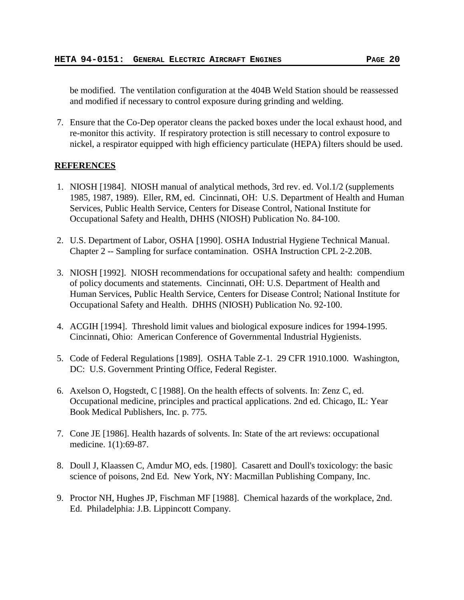be modified. The ventilation configuration at the 404B Weld Station should be reassessed and modified if necessary to control exposure during grinding and welding.

7. Ensure that the Co-Dep operator cleans the packed boxes under the local exhaust hood, and re-monitor this activity. If respiratory protection is still necessary to control exposure to nickel, a respirator equipped with high efficiency particulate (HEPA) filters should be used.

## **REFERENCES**

- 1. NIOSH [1984]. NIOSH manual of analytical methods, 3rd rev. ed. Vol.1/2 (supplements 1985, 1987, 1989). Eller, RM, ed. Cincinnati, OH: U.S. Department of Health and Human Services, Public Health Service, Centers for Disease Control, National Institute for Occupational Safety and Health, DHHS (NIOSH) Publication No. 84-100.
- 2. U.S. Department of Labor, OSHA [1990]. OSHA Industrial Hygiene Technical Manual. Chapter 2 -- Sampling for surface contamination. OSHA Instruction CPL 2-2.20B.
- 3. NIOSH [1992]. NIOSH recommendations for occupational safety and health: compendium of policy documents and statements. Cincinnati, OH: U.S. Department of Health and Human Services, Public Health Service, Centers for Disease Control; National Institute for Occupational Safety and Health. DHHS (NIOSH) Publication No. 92-100.
- 4. ACGIH [1994]. Threshold limit values and biological exposure indices for 1994-1995. Cincinnati, Ohio: American Conference of Governmental Industrial Hygienists.
- 5. Code of Federal Regulations [1989]. OSHA Table Z-1. 29 CFR 1910.1000. Washington, DC: U.S. Government Printing Office, Federal Register.
- 6. Axelson O, Hogstedt, C [1988]. On the health effects of solvents. In: Zenz C, ed. Occupational medicine, principles and practical applications. 2nd ed. Chicago, IL: Year Book Medical Publishers, Inc. p. 775.
- 7. Cone JE [1986]. Health hazards of solvents. In: State of the art reviews: occupational medicine. 1(1):69-87.
- 8. Doull J, Klaassen C, Amdur MO, eds. [1980]. Casarett and Doull's toxicology: the basic science of poisons, 2nd Ed. New York, NY: Macmillan Publishing Company, Inc.
- 9. Proctor NH, Hughes JP, Fischman MF [1988]. Chemical hazards of the workplace, 2nd. Ed. Philadelphia: J.B. Lippincott Company.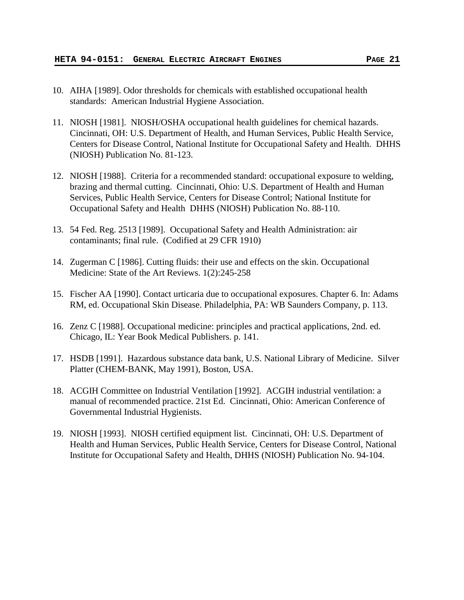- 10. AIHA [1989]. Odor thresholds for chemicals with established occupational health standards: American Industrial Hygiene Association.
- 11. NIOSH [1981]. NIOSH/OSHA occupational health guidelines for chemical hazards. Cincinnati, OH: U.S. Department of Health, and Human Services, Public Health Service, Centers for Disease Control, National Institute for Occupational Safety and Health. DHHS (NIOSH) Publication No. 81-123.
- 12. NIOSH [1988]. Criteria for a recommended standard: occupational exposure to welding, brazing and thermal cutting. Cincinnati, Ohio: U.S. Department of Health and Human Services, Public Health Service, Centers for Disease Control; National Institute for Occupational Safety and Health DHHS (NIOSH) Publication No. 88-110.
- 13. 54 Fed. Reg. 2513 [1989]. Occupational Safety and Health Administration: air contaminants; final rule. (Codified at 29 CFR 1910)
- 14. Zugerman C [1986]. Cutting fluids: their use and effects on the skin. Occupational Medicine: State of the Art Reviews. 1(2):245-258
- 15. Fischer AA [1990]. Contact urticaria due to occupational exposures. Chapter 6. In: Adams RM, ed. Occupational Skin Disease. Philadelphia, PA: WB Saunders Company, p. 113.
- 16. Zenz C [1988]. Occupational medicine: principles and practical applications, 2nd. ed. Chicago, IL: Year Book Medical Publishers. p. 141.
- 17. HSDB [1991]. Hazardous substance data bank, U.S. National Library of Medicine. Silver Platter (CHEM-BANK, May 1991), Boston, USA.
- 18. ACGIH Committee on Industrial Ventilation [1992]. ACGIH industrial ventilation: a manual of recommended practice. 21st Ed. Cincinnati, Ohio: American Conference of Governmental Industrial Hygienists.
- 19. NIOSH [1993]. NIOSH certified equipment list. Cincinnati, OH: U.S. Department of Health and Human Services, Public Health Service, Centers for Disease Control, National Institute for Occupational Safety and Health, DHHS (NIOSH) Publication No. 94-104.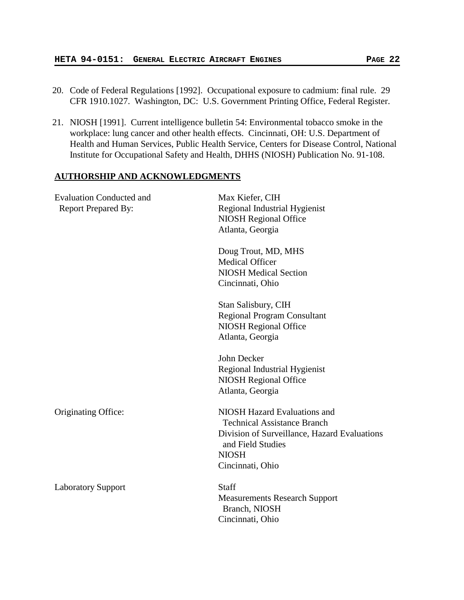- 20. Code of Federal Regulations [1992]. Occupational exposure to cadmium: final rule. 29 CFR 1910.1027. Washington, DC: U.S. Government Printing Office, Federal Register.
- 21. NIOSH [1991]. Current intelligence bulletin 54: Environmental tobacco smoke in the workplace: lung cancer and other health effects. Cincinnati, OH: U.S. Department of Health and Human Services, Public Health Service, Centers for Disease Control, National Institute for Occupational Safety and Health, DHHS (NIOSH) Publication No. 91-108.

## **AUTHORSHIP AND ACKNOWLEDGMENTS**

| <b>Evaluation Conducted and</b><br>Report Prepared By: | Max Kiefer, CIH<br>Regional Industrial Hygienist<br><b>NIOSH Regional Office</b><br>Atlanta, Georgia                                                                        |  |  |
|--------------------------------------------------------|-----------------------------------------------------------------------------------------------------------------------------------------------------------------------------|--|--|
|                                                        | Doug Trout, MD, MHS<br><b>Medical Officer</b><br><b>NIOSH Medical Section</b><br>Cincinnati, Ohio                                                                           |  |  |
|                                                        | Stan Salisbury, CIH<br><b>Regional Program Consultant</b><br><b>NIOSH Regional Office</b><br>Atlanta, Georgia                                                               |  |  |
|                                                        | John Decker<br>Regional Industrial Hygienist<br><b>NIOSH Regional Office</b><br>Atlanta, Georgia                                                                            |  |  |
| Originating Office:                                    | NIOSH Hazard Evaluations and<br><b>Technical Assistance Branch</b><br>Division of Surveillance, Hazard Evaluations<br>and Field Studies<br><b>NIOSH</b><br>Cincinnati, Ohio |  |  |
| <b>Laboratory Support</b>                              | <b>Staff</b><br><b>Measurements Research Support</b><br>Branch, NIOSH<br>Cincinnati, Ohio                                                                                   |  |  |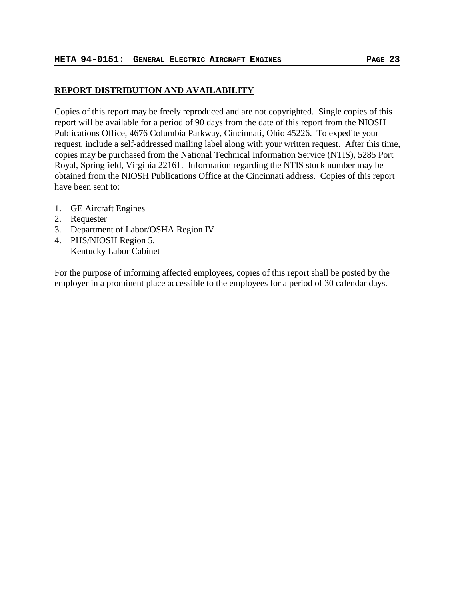# **REPORT DISTRIBUTION AND AVAILABILITY**

Copies of this report may be freely reproduced and are not copyrighted. Single copies of this report will be available for a period of 90 days from the date of this report from the NIOSH Publications Office, 4676 Columbia Parkway, Cincinnati, Ohio 45226. To expedite your request, include a self-addressed mailing label along with your written request. After this time, copies may be purchased from the National Technical Information Service (NTIS), 5285 Port Royal, Springfield, Virginia 22161. Information regarding the NTIS stock number may be obtained from the NIOSH Publications Office at the Cincinnati address. Copies of this report have been sent to:

- 1. GE Aircraft Engines
- 2. Requester
- 3. Department of Labor/OSHA Region IV
- 4. PHS/NIOSH Region 5. Kentucky Labor Cabinet

For the purpose of informing affected employees, copies of this report shall be posted by the employer in a prominent place accessible to the employees for a period of 30 calendar days.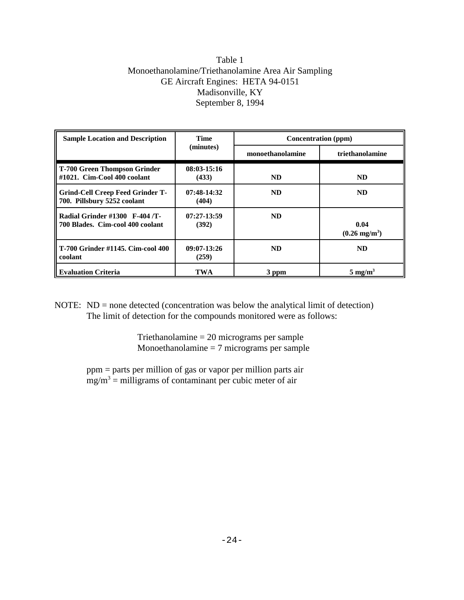# Table 1 Monoethanolamine/Triethanolamine Area Air Sampling GE Aircraft Engines: HETA 94-0151 Madisonville, KY September 8, 1994

| <b>Sample Location and Description</b>                             | <b>Time</b>            | Concentration (ppm) |                                 |  |
|--------------------------------------------------------------------|------------------------|---------------------|---------------------------------|--|
|                                                                    | (minutes)              | monoethanolamine    | triethanolamine                 |  |
| T-700 Green Thompson Grinder<br>#1021. Cim-Cool 400 coolant        | $08:03-15:16$<br>(433) | ND.                 | <b>ND</b>                       |  |
| Grind-Cell Creep Feed Grinder T-<br>700. Pillsbury 5252 coolant    | $07:48-14:32$<br>(404) | <b>ND</b>           | <b>ND</b>                       |  |
| Radial Grinder #1300 F-404 /T-<br>700 Blades. Cim-cool 400 coolant | $07:27-13:59$<br>(392) | <b>ND</b>           | 0.04<br>$(0.26 \text{ mg/m}^3)$ |  |
| T-700 Grinder #1145. Cim-cool 400<br>coolant                       | $09:07-13:26$<br>(259) | ND.                 | <b>ND</b>                       |  |
| <b>Evaluation Criteria</b>                                         | <b>TWA</b>             | 3 ppm               | $5 \text{ mg/m}^3$              |  |

NOTE: ND = none detected (concentration was below the analytical limit of detection) The limit of detection for the compounds monitored were as follows:

> Triethanolamine = 20 micrograms per sample Monoethanolamine = 7 micrograms per sample

ppm = parts per million of gas or vapor per million parts air  $mg/m<sup>3</sup>$  = milligrams of contaminant per cubic meter of air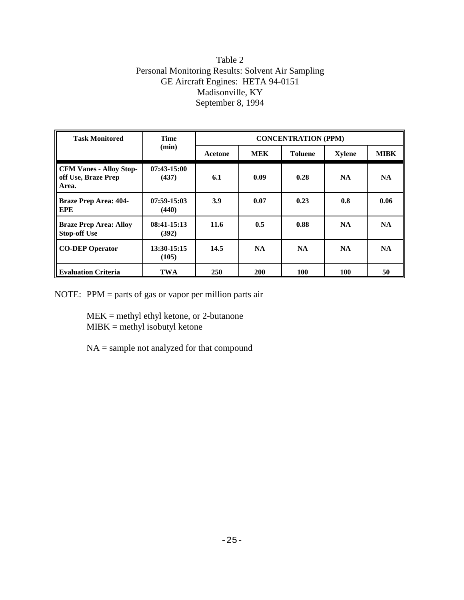# Table 2 Personal Monitoring Results: Solvent Air Sampling GE Aircraft Engines: HETA 94-0151 Madisonville, KY September 8, 1994

| <b>Task Monitored</b>                                          | <b>Time</b><br>(min)   | <b>CONCENTRATION (PPM)</b> |            |                |               |             |
|----------------------------------------------------------------|------------------------|----------------------------|------------|----------------|---------------|-------------|
|                                                                |                        | Acetone                    | <b>MEK</b> | <b>Toluene</b> | <b>Xylene</b> | <b>MIBK</b> |
| <b>CFM Vanes - Alloy Stop-</b><br>off Use, Braze Prep<br>Area. | $07:43-15:00$<br>(437) | 6.1                        | 0.09       | 0.28           | <b>NA</b>     | <b>NA</b>   |
| <b>Braze Prep Area: 404-</b><br>EPE                            | $07:59-15:03$<br>(440) | 3.9                        | 0.07       | 0.23           | 0.8           | 0.06        |
| <b>Braze Prep Area: Alloy</b><br><b>Stop-off Use</b>           | $08:41-15:13$<br>(392) | 11.6                       | 0.5        | 0.88           | <b>NA</b>     | <b>NA</b>   |
| <b>CO-DEP Operator</b>                                         | 13:30-15:15<br>(105)   | 14.5                       | NA.        | <b>NA</b>      | <b>NA</b>     | <b>NA</b>   |
| <b>Evaluation Criteria</b>                                     | <b>TWA</b>             | 250                        | <b>200</b> | <b>100</b>     | 100           | 50          |

NOTE: PPM = parts of gas or vapor per million parts air

MEK = methyl ethyl ketone, or 2-butanone  $MIBK =$  methyl isobutyl ketone

NA = sample not analyzed for that compound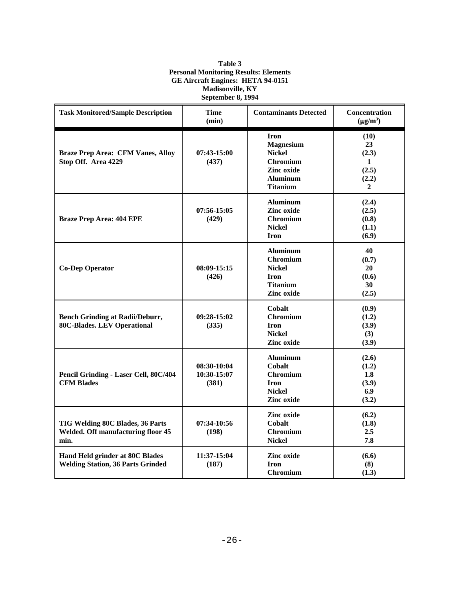| Table 3                                      |  |  |  |
|----------------------------------------------|--|--|--|
| <b>Personal Monitoring Results: Elements</b> |  |  |  |
| <b>GE Aircraft Engines: HETA 94-0151</b>     |  |  |  |
| <b>Madisonville, KY</b>                      |  |  |  |
| September 8, 1994                            |  |  |  |

| <b>Task Monitored/Sample Description</b>                                              | <b>Time</b><br>(min)                | <b>Contaminants Detected</b>                                                                                            | Concentration<br>$(\mu g/m^3)$                             |
|---------------------------------------------------------------------------------------|-------------------------------------|-------------------------------------------------------------------------------------------------------------------------|------------------------------------------------------------|
| <b>Braze Prep Area: CFM Vanes, Alloy</b><br>Stop Off. Area 4229                       | 07:43-15:00<br>(437)                | <b>Iron</b><br><b>Magnesium</b><br><b>Nickel</b><br><b>Chromium</b><br>Zinc oxide<br><b>Aluminum</b><br><b>Titanium</b> | (10)<br>23<br>(2.3)<br>1<br>(2.5)<br>(2.2)<br>$\mathbf{2}$ |
| <b>Braze Prep Area: 404 EPE</b>                                                       | $07:56-15:05$<br>(429)              | <b>Aluminum</b><br>Zinc oxide<br><b>Chromium</b><br><b>Nickel</b><br><b>Iron</b>                                        | (2.4)<br>(2.5)<br>(0.8)<br>(1.1)<br>(6.9)                  |
| <b>Co-Dep Operator</b>                                                                | 08:09-15:15<br>(426)                | <b>Aluminum</b><br><b>Chromium</b><br><b>Nickel</b><br><b>Iron</b><br><b>Titanium</b><br><b>Zinc oxide</b>              | 40<br>(0.7)<br>20<br>(0.6)<br>30<br>(2.5)                  |
| <b>Bench Grinding at Radii/Deburr,</b><br><b>80C-Blades. LEV Operational</b>          | 09:28-15:02<br>(335)                | <b>Cobalt</b><br><b>Chromium</b><br><b>Iron</b><br><b>Nickel</b><br><b>Zinc oxide</b>                                   | (0.9)<br>(1.2)<br>(3.9)<br>(3)<br>(3.9)                    |
| Pencil Grinding - Laser Cell, 80C/404<br><b>CFM Blades</b>                            | 08:30-10:04<br>10:30-15:07<br>(381) | <b>Aluminum</b><br><b>Cobalt</b><br><b>Chromium</b><br><b>Iron</b><br><b>Nickel</b><br>Zinc oxide                       | (2.6)<br>(1.2)<br>1.8<br>(3.9)<br>6.9<br>(3.2)             |
| TIG Welding 80C Blades, 36 Parts<br><b>Welded. Off manufacturing floor 45</b><br>min. | 07:34-10:56<br>(198)                | Zinc oxide<br>Cobalt<br><b>Chromium</b><br><b>Nickel</b>                                                                | (6.2)<br>(1.8)<br>2.5<br>7.8                               |
| Hand Held grinder at 80C Blades<br><b>Welding Station, 36 Parts Grinded</b>           | 11:37-15:04<br>(187)                | <b>Zinc oxide</b><br><b>Iron</b><br><b>Chromium</b>                                                                     | (6.6)<br>(8)<br>(1.3)                                      |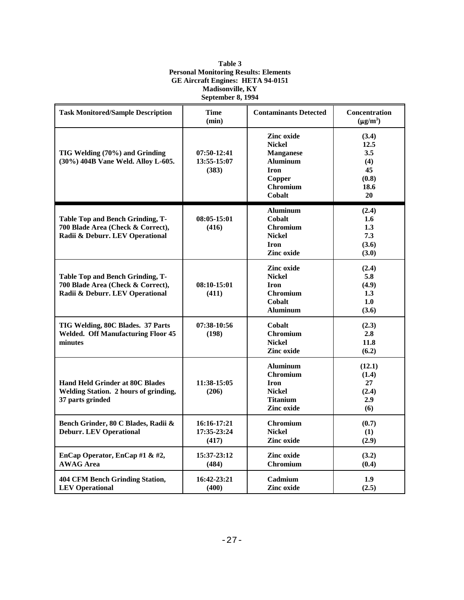### **Table 3 Personal Monitoring Results: Elements GE Aircraft Engines: HETA 94-0151 Madisonville, KY September 8, 1994**

| <b>Task Monitored/Sample Description</b>                                                                 | <b>Time</b><br>(min)                | <b>Contaminants Detected</b>                                                                                             | Concentration<br>$(\mu g/m^3)$                           |
|----------------------------------------------------------------------------------------------------------|-------------------------------------|--------------------------------------------------------------------------------------------------------------------------|----------------------------------------------------------|
| TIG Welding (70%) and Grinding<br>(30%) 404B Vane Weld. Alloy L-605.                                     | 07:50-12:41<br>13:55-15:07<br>(383) | Zinc oxide<br><b>Nickel</b><br><b>Manganese</b><br><b>Aluminum</b><br><b>Iron</b><br>Copper<br><b>Chromium</b><br>Cobalt | (3.4)<br>12.5<br>3.5<br>(4)<br>45<br>(0.8)<br>18.6<br>20 |
| Table Top and Bench Grinding, T-<br>700 Blade Area (Check & Correct),<br>Radii & Deburr. LEV Operational | $08:05-15:01$<br>(416)              | Aluminum<br>Cobalt<br><b>Chromium</b><br><b>Nickel</b><br><b>Iron</b><br>Zinc oxide                                      | (2.4)<br>1.6<br>1.3<br>7.3<br>(3.6)<br>(3.0)             |
| Table Top and Bench Grinding, T-<br>700 Blade Area (Check & Correct),<br>Radii & Deburr. LEV Operational | $08:10-15:01$<br>(411)              | Zinc oxide<br><b>Nickel</b><br><b>Iron</b><br><b>Chromium</b><br><b>Cobalt</b><br><b>Aluminum</b>                        | (2.4)<br>5.8<br>(4.9)<br>1.3<br>1.0<br>(3.6)             |
| TIG Welding, 80C Blades. 37 Parts<br><b>Welded. Off Manufacturing Floor 45</b><br>minutes                | 07:38-10:56<br>(198)                | Cobalt<br><b>Chromium</b><br><b>Nickel</b><br>Zinc oxide                                                                 | (2.3)<br>2.8<br>11.8<br>(6.2)                            |
| <b>Hand Held Grinder at 80C Blades</b><br>Welding Station. 2 hours of grinding,<br>37 parts grinded      | 11:38-15:05<br>(206)                | <b>Aluminum</b><br><b>Chromium</b><br><b>Iron</b><br><b>Nickel</b><br><b>Titanium</b><br>Zinc oxide                      | (12.1)<br>(1.4)<br>27<br>(2.4)<br>2.9<br>(6)             |
| Bench Grinder, 80 C Blades, Radii &<br><b>Deburr. LEV Operational</b>                                    | 16:16-17:21<br>17:35-23:24<br>(417) | <b>Chromium</b><br><b>Nickel</b><br>Zinc oxide                                                                           | (0.7)<br>(1)<br>(2.9)                                    |
| EnCap Operator, EnCap #1 & #2,<br><b>AWAG Area</b>                                                       | 15:37-23:12<br>(484)                | Zinc oxide<br><b>Chromium</b>                                                                                            | (3.2)<br>(0.4)                                           |
| <b>404 CFM Bench Grinding Station,</b><br><b>LEV</b> Operational                                         | 16:42-23:21<br>(400)                | Cadmium<br><b>Zinc oxide</b>                                                                                             | 1.9<br>(2.5)                                             |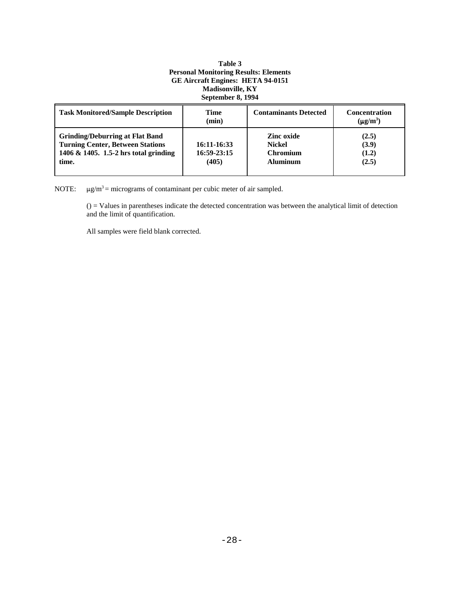#### **Table 3 Personal Monitoring Results: Elements GE Aircraft Engines: HETA 94-0151 Madisonville, KY September 8, 1994**

| <b>Task Monitored/Sample Description</b>                                                                                            | Time<br>(min)                       | <b>Contaminants Detected</b>                                             | <b>Concentration</b><br>$(\mu g/m^3)$ |
|-------------------------------------------------------------------------------------------------------------------------------------|-------------------------------------|--------------------------------------------------------------------------|---------------------------------------|
| <b>Grinding/Deburring at Flat Band</b><br><b>Turning Center, Between Stations</b><br>1406 & 1405. 1.5-2 hrs total grinding<br>time. | 16:11-16:33<br>16:59-23:15<br>(405) | <b>Zinc oxide</b><br><b>Nickel</b><br><b>Chromium</b><br><b>Aluminum</b> | (2.5)<br>(3.9)<br>(1.2)<br>(2.5)      |

NOTE:  $\mu g/m^3$  = micrograms of contaminant per cubic meter of air sampled.

() = Values in parentheses indicate the detected concentration was between the analytical limit of detection and the limit of quantification.

All samples were field blank corrected.